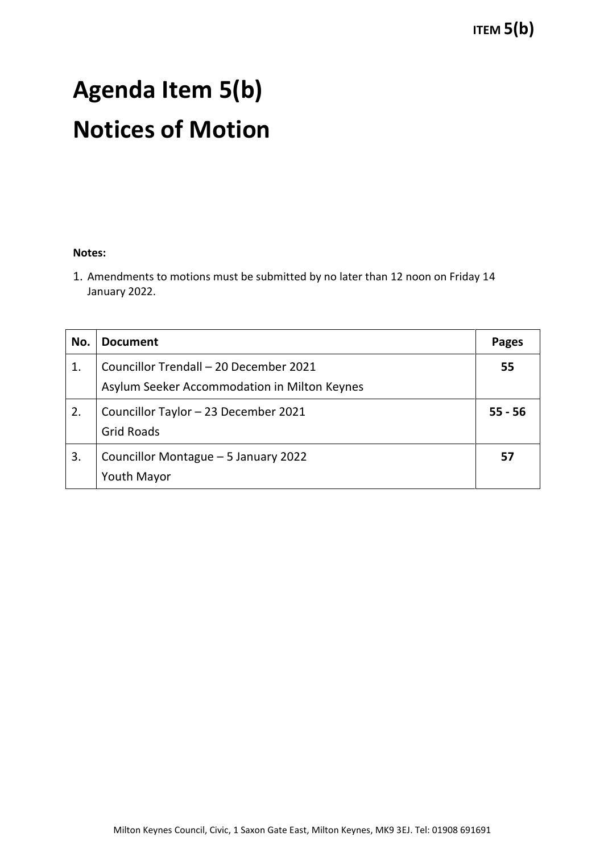# **Agenda Item 5(b) Notices of Motion**

#### **Notes:**

1. Amendments to motions must be submitted by no later than 12 noon on Friday 14 January 2022.

| No. | <b>Document</b>                                                                        | Pages     |
|-----|----------------------------------------------------------------------------------------|-----------|
| 1.  | Councillor Trendall - 20 December 2021<br>Asylum Seeker Accommodation in Milton Keynes | 55        |
| 2.  | Councillor Taylor - 23 December 2021<br><b>Grid Roads</b>                              | $55 - 56$ |
| 3.  | Councillor Montague - 5 January 2022<br>Youth Mayor                                    | 57        |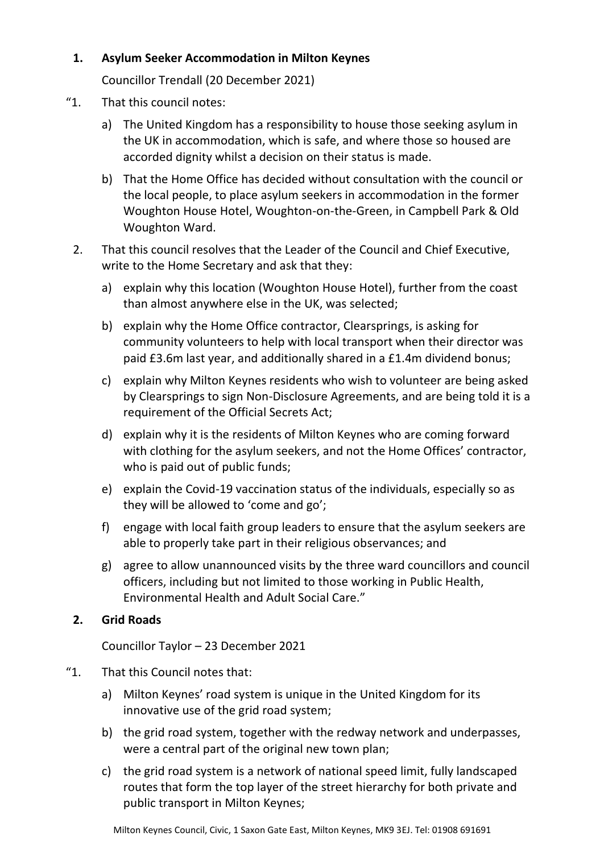### **1. Asylum Seeker Accommodation in Milton Keynes**

Councillor Trendall (20 December 2021)

- "1. That this council notes:
	- a) The United Kingdom has a responsibility to house those seeking asylum in the UK in accommodation, which is safe, and where those so housed are accorded dignity whilst a decision on their status is made.
	- b) That the Home Office has decided without consultation with the council or the local people, to place asylum seekers in accommodation in the former Woughton House Hotel, Woughton-on-the-Green, in Campbell Park & Old Woughton Ward.
	- 2. That this council resolves that the Leader of the Council and Chief Executive, write to the Home Secretary and ask that they:
		- a) explain why this location (Woughton House Hotel), further from the coast than almost anywhere else in the UK, was selected;
		- b) explain why the Home Office contractor, Clearsprings, is asking for community volunteers to help with local transport when their director was paid £3.6m last year, and additionally shared in a £1.4m dividend bonus;
		- c) explain why Milton Keynes residents who wish to volunteer are being asked by Clearsprings to sign Non-Disclosure Agreements, and are being told it is a requirement of the Official Secrets Act;
		- d) explain why it is the residents of Milton Keynes who are coming forward with clothing for the asylum seekers, and not the Home Offices' contractor, who is paid out of public funds;
		- e) explain the Covid-19 vaccination status of the individuals, especially so as they will be allowed to 'come and go';
		- f) engage with local faith group leaders to ensure that the asylum seekers are able to properly take part in their religious observances; and
		- g) agree to allow unannounced visits by the three ward councillors and council officers, including but not limited to those working in Public Health, Environmental Health and Adult Social Care."

# **2. Grid Roads**

Councillor Taylor – 23 December 2021

# "1. That this Council notes that:

- a) Milton Keynes' road system is unique in the United Kingdom for its innovative use of the grid road system;
- b) the grid road system, together with the redway network and underpasses, were a central part of the original new town plan;
- c) the grid road system is a network of national speed limit, fully landscaped routes that form the top layer of the street hierarchy for both private and public transport in Milton Keynes;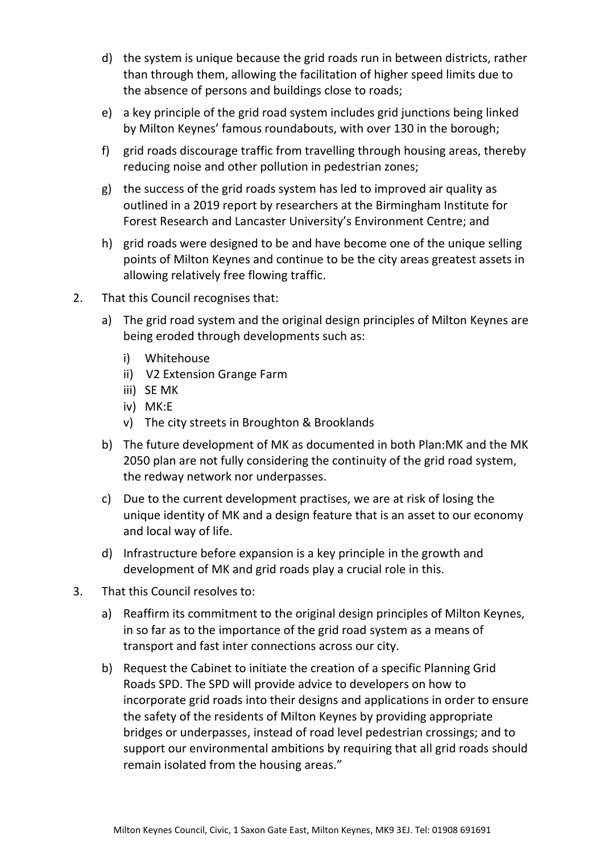- d) the system is unique because the grid roads run in between districts, rather than through them, allowing the facilitation of higher speed limits due to the absence of persons and buildings close to roads;
- e) a key principle of the grid road system includes grid junctions being linked by Milton Keynes' famous roundabouts, with over 130 in the borough;
- f) grid roads discourage traffic from travelling through housing areas, thereby reducing noise and other pollution in pedestrian zones;
- g) the success of the grid roads system has led to improved air quality as outlined in a 2019 report by researchers at the Birmingham Institute for Forest Research and Lancaster University's Environment Centre; and
- h) grid roads were designed to be and have become one of the unique selling points of Milton Keynes and continue to be the city areas greatest assets in allowing relatively free flowing traffic.
- 2. That this Council recognises that:
	- a) The grid road system and the original design principles of Milton Keynes are being eroded through developments such as:
		- i) Whitehouse
		- ii) V2 Extension Grange Farm
		- iii) SE MK
		- iv) MK:E
		- v) The city streets in Broughton & Brooklands
	- b) The future development of MK as documented in both Plan:MK and the MK 2050 plan are not fully considering the continuity of the grid road system, the redway network nor underpasses.
	- c) Due to the current development practises, we are at risk of losing the unique identity of MK and a design feature that is an asset to our economy and local way of life.
	- d) Infrastructure before expansion is a key principle in the growth and development of MK and grid roads play a crucial role in this.
- 3. That this Council resolves to:
	- a) Reaffirm its commitment to the original design principles of Milton Keynes, in so far as to the importance of the grid road system as a means of transport and fast inter connections across our city.
	- b) Request the Cabinet to initiate the creation of a specific Planning Grid Roads SPD. The SPD will provide advice to developers on how to incorporate grid roads into their designs and applications in order to ensure the safety of the residents of Milton Keynes by providing appropriate bridges or underpasses, instead of road level pedestrian crossings; and to support our environmental ambitions by requiring that all grid roads should remain isolated from the housing areas."